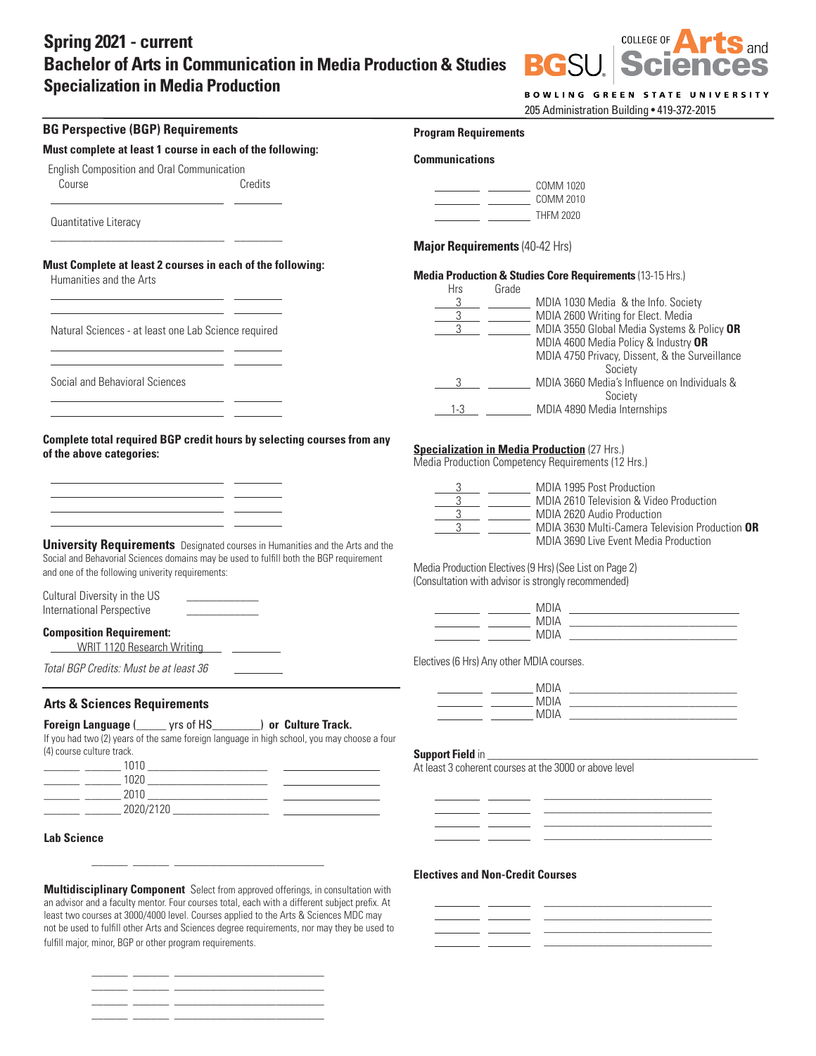## **Spring 2021 - current Bachelor of Arts in Communication in Media Production & Studies Specialization in Media Production**

 $\overline{C}$  COLLEGE OF **Sand**<br>Ces **BGSI PCI** 

BOWLING GREEN STATE UNIVERSITY

205 Administration Building • 419-372-2015

| <b>BG Perspective (BGP) Requirements</b>                                                                                                                                             | <b>Program Requirements</b>                                                                                                                                     |  |  |
|--------------------------------------------------------------------------------------------------------------------------------------------------------------------------------------|-----------------------------------------------------------------------------------------------------------------------------------------------------------------|--|--|
| Must complete at least 1 course in each of the following:                                                                                                                            | <b>Communications</b>                                                                                                                                           |  |  |
| English Composition and Oral Communication                                                                                                                                           |                                                                                                                                                                 |  |  |
| Credits<br>Course                                                                                                                                                                    | COMM 1020                                                                                                                                                       |  |  |
| Quantitative Literacy                                                                                                                                                                | COMM 2010<br><b>THFM 2020</b>                                                                                                                                   |  |  |
| <u> 1989 - Johann John Harry Barnett, francuski filozof (</u>                                                                                                                        |                                                                                                                                                                 |  |  |
| Must Complete at least 2 courses in each of the following:                                                                                                                           | Major Requirements (40-42 Hrs)                                                                                                                                  |  |  |
| Humanities and the Arts                                                                                                                                                              | Media Production & Studies Core Requirements (13-15 Hrs.)<br>Grade<br>Hrs                                                                                       |  |  |
|                                                                                                                                                                                      | MDIA 1030 Media & the Info. Society                                                                                                                             |  |  |
|                                                                                                                                                                                      | 3 ____ ________ MDIA 2600 Writing for Elect. Media                                                                                                              |  |  |
| Natural Sciences - at least one Lab Science required                                                                                                                                 | 3 ____ ________ MDIA 3550 Global Media Systems & Policy OR<br>MDIA 4600 Media Policy & Industry OR<br>MDIA 4750 Privacy, Dissent, & the Surveillance<br>Society |  |  |
| Social and Behavioral Sciences                                                                                                                                                       | 3 MDIA 3660 Media's Influence on Individuals &                                                                                                                  |  |  |
| <u> 1989 - John Harrison, fransk politik (d. 1989)</u>                                                                                                                               | Society<br>1-3 MDIA 4890 Media Internships                                                                                                                      |  |  |
|                                                                                                                                                                                      |                                                                                                                                                                 |  |  |
| Complete total required BGP credit hours by selecting courses from any<br>of the above categories:                                                                                   | <b>Specialization in Media Production (27 Hrs.)</b><br>Media Production Competency Requirements (12 Hrs.)                                                       |  |  |
| <u> 1989 - Johann Harry Harry Harry Harry Harry Harry Harry Harry Harry Harry Harry Harry Harry Harry Harry Harry</u><br><u> 1989 - Johann Stoff, amerikansk politiker (d. 1989)</u> | 3 ____ _________ MDIA 1995 Post Production                                                                                                                      |  |  |
| <u> 1989 - Johann Barn, mars ann an t-Amhain an t-Amhain an t-Amhain an t-Amhain an t-Amhain an t-Amhain an t-Amh</u>                                                                | 3 __ ________ MDIA 2610 Television & Video Production                                                                                                           |  |  |
| <u> 1989 - Johann Marie Barn, mars eta inperiodo</u>                                                                                                                                 | 3 ___ _________ MDIA 2620 Audio Production<br>MDIA 3630 Multi-Camera Television Production OR                                                                   |  |  |
| <b>University Requirements</b> Designated courses in Humanities and the Arts and the                                                                                                 | MDIA 3690 Live Event Media Production                                                                                                                           |  |  |
| Social and Behavorial Sciences domains may be used to fulfill both the BGP requirement                                                                                               | Media Production Electives (9 Hrs) (See List on Page 2)                                                                                                         |  |  |
| and one of the following univerity requirements:                                                                                                                                     | (Consultation with advisor is strongly recommended)                                                                                                             |  |  |
| Cultural Diversity in the US                                                                                                                                                         |                                                                                                                                                                 |  |  |
| International Perspective                                                                                                                                                            |                                                                                                                                                                 |  |  |
| <b>Composition Requirement:</b><br>WRIT 1120 Research Writing [100]                                                                                                                  |                                                                                                                                                                 |  |  |
| Total BGP Credits: Must be at least 36                                                                                                                                               | Electives (6 Hrs) Any other MDIA courses.                                                                                                                       |  |  |
|                                                                                                                                                                                      |                                                                                                                                                                 |  |  |
| <b>Arts &amp; Sciences Requirements</b>                                                                                                                                              |                                                                                                                                                                 |  |  |
| Foreign Language ( settor of HS (Settor 2015) or Culture Track.                                                                                                                      |                                                                                                                                                                 |  |  |
| If you had two (2) years of the same foreign language in high school, you may choose a four<br>(4) course culture track.                                                             |                                                                                                                                                                 |  |  |
|                                                                                                                                                                                      | At least 3 coherent courses at the 3000 or above level                                                                                                          |  |  |
|                                                                                                                                                                                      |                                                                                                                                                                 |  |  |
|                                                                                                                                                                                      |                                                                                                                                                                 |  |  |
|                                                                                                                                                                                      |                                                                                                                                                                 |  |  |
| <b>Lab Science</b>                                                                                                                                                                   |                                                                                                                                                                 |  |  |
|                                                                                                                                                                                      |                                                                                                                                                                 |  |  |
| Multidisciplinary Component Select from approved offerings, in consultation with                                                                                                     | <b>Electives and Non-Credit Courses</b>                                                                                                                         |  |  |
| an advisor and a faculty mentor. Four courses total, each with a different subject prefix. At                                                                                        |                                                                                                                                                                 |  |  |
| least two courses at 3000/4000 level. Courses applied to the Arts & Sciences MDC may<br>not be used to fulfill other Arts and Sciences degree requirements, nor may they be used to  |                                                                                                                                                                 |  |  |
| fulfill major, minor, BGP or other program requirements.                                                                                                                             |                                                                                                                                                                 |  |  |
|                                                                                                                                                                                      |                                                                                                                                                                 |  |  |
|                                                                                                                                                                                      |                                                                                                                                                                 |  |  |
| $\overline{\phantom{a}}$                                                                                                                                                             |                                                                                                                                                                 |  |  |
| $ -$                                                                                                                                                                                 |                                                                                                                                                                 |  |  |